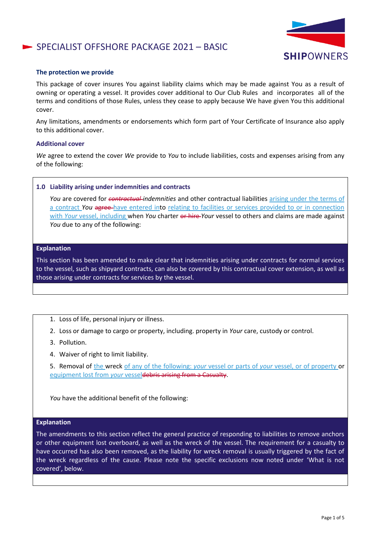# SPECIALIST OFFSHORE PACKAGE 2021 - BASIC



### **The protection we provide**

This package of cover insures You against liability claims which may be made against You as a result of owning or operating a vessel. It provides cover additional to Our Club Rules and incorporates all of the terms and conditions of those Rules, unless they cease to apply because We have given You this additional cover.

Any limitations, amendments or endorsements which form part of Your Certificate of Insurance also apply to this additional cover.

### **Additional cover**

*We* agree to extend the cover *We* provide to *You* to include liabilities, costs and expenses arising from any of the following:

#### **1.0 Liability arising under indemnities and contracts**

*You* are covered for *contractual indemnities* and other contractual liabilities arising under the terms of a contract *You* agree have entered into relating to facilities or services provided to or in connection with *Your* vessel, including when *You* charter or hire *Your* vessel to others and claims are made against *You* due to any of the following:

### **Explanation**

This section has been amended to make clear that indemnities arising under contracts for normal services to the vessel, such as shipyard contracts, can also be covered by this contractual cover extension, as well as those arising under contracts for services by the vessel.

- 1. Loss of life, personal injury or illness.
- 2. Loss or damage to cargo or property, including. property in *Your* care, custody or control.
- 3. Pollution.
- 4. Waiver of right to limit liability.

5. Removal of the wreck of any of the following: *your* vessel or parts of *your* vessel, or of property or equipment lost from *your* vesseldebris arising from a Casualty.

*You* have the additional benefit of the following:

#### **Explanation**

The amendments to this section reflect the general practice of responding to liabilities to remove anchors or other equipment lost overboard, as well as the wreck of the vessel. The requirement for a casualty to have occurred has also been removed, as the liability for wreck removal is usually triggered by the fact of the wreck regardless of the cause. Please note the specific exclusions now noted under 'What is not covered', below.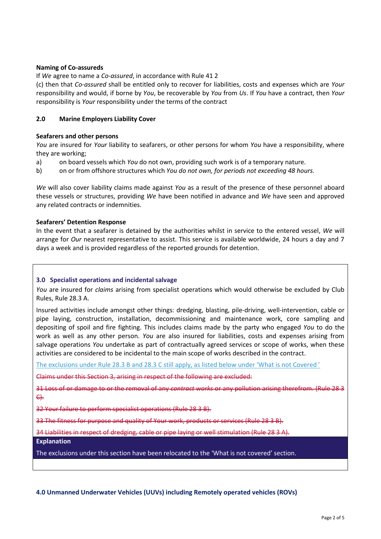# **Naming of Co-assureds**

If *We* agree to name a *Co-assured*, in accordance with Rule 41 2

(c) then that *Co-assured* shall be entitled only to recover for liabilities, costs and expenses which are *Your* responsibility and would, if borne by *You*, be recoverable by *You* from *Us*. If *You* have a contract, then *Your* responsibility is *Your* responsibility under the terms of the contract

# **2.0 Marine Employers Liability Cover**

# **Seafarers and other persons**

*You* are insured for *Your* liability to seafarers, or other persons for whom *You* have a responsibility, where they are working;

- a) on board vessels which *You* do not own, providing such work is of a temporary nature.
- b) on or from offshore structures which *You do not own, for periods not exceeding 48 hours.*

*We* will also cover liability claims made against *You* as a result of the presence of these personnel aboard these vessels or structures, providing *We* have been notified in advance and *We* have seen and approved any related contracts or indemnities.

# **Seafarers' Detention Response**

In the event that a seafarer is detained by the authorities whilst in service to the entered vessel, *We* will arrange for *Our* nearest representative to assist. This service is available worldwide, 24 hours a day and 7 days a week and is provided regardless of the reported grounds for detention.

# **3.0 Specialist operations and incidental salvage**

*You* are insured for *claims* arising from specialist operations which would otherwise be excluded by Club Rules, Rule 28.3 A.

Insured activities include amongst other things: dredging, blasting, pile-driving, well-intervention, cable or pipe laying, construction, installation, decommissioning and maintenance work, core sampling and depositing of spoil and fire fighting. This includes claims made by the party who engaged *You* to do the work as well as any other person. *You* are also insured for liabilities, costs and expenses arising from salvage operations *You* undertake as part of contractually agreed services or scope of works, when these activities are considered to be incidental to the main scope of works described in the contract.

The exclusions under Rule 28.3 B and 28.3 C still apply, as listed below under 'What is not Covered '

Claims under this Section 3, arising in respect of the following are excluded:

31 Loss of or damage to or the removal of any *contract works* or any pollution arising therefrom. (Rule 28 3 C).

32 Your failure to perform specialist operations (Rule 28 3 B).

33 The fitness for purpose and quality of Your work, products or services (Rule 28 3 B).

34 Liabilities in respect of dredging, cable or pipe laying or well stimulation (Rule 28 3 A).

**Explanation**

The exclusions under this section have been relocated to the 'What is not covered' section.

**4.0 Unmanned Underwater Vehicles (UUVs) including Remotely operated vehicles (ROVs)**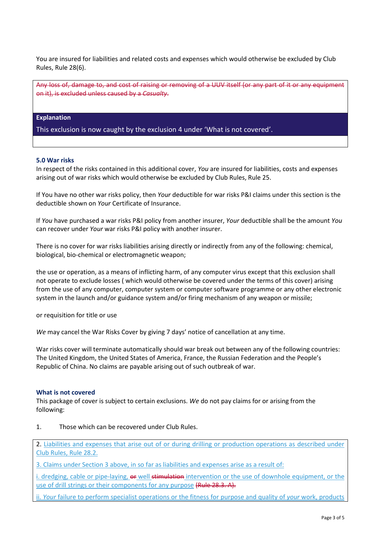You are insured for liabilities and related costs and expenses which would otherwise be excluded by Club Rules, Rule 28(6).

Any loss of, damage to, and cost of raising or removing of a UUV itself (or any part of it or any equipment on it), is excluded unless caused by a *Casualty*.

# **Explanation**

This exclusion is now caught by the exclusion 4 under 'What is not covered'.

### **5.0 War risks**

In respect of the risks contained in this additional cover, *You* are insured for liabilities, costs and expenses arising out of war risks which would otherwise be excluded by Club Rules, Rule 25.

If You have no other war risks policy, then *Your* deductible for war risks P&I claims under this section is the deductible shown on *Your* Certificate of Insurance.

If *You* have purchased a war risks P&I policy from another insurer, *Your* deductible shall be the amount *You* can recover under *Your* war risks P&I policy with another insurer.

There is no cover for war risks liabilities arising directly or indirectly from any of the following: chemical, biological, bio-chemical or electromagnetic weapon;

the use or operation, as a means of inflicting harm, of any computer virus except that this exclusion shall not operate to exclude losses ( which would otherwise be covered under the terms of this cover) arising from the use of any computer, computer system or computer software programme or any other electronic system in the launch and/or guidance system and/or firing mechanism of any weapon or missile;

or requisition for title or use

*We* may cancel the War Risks Cover by giving 7 days' notice of cancellation at any time.

War risks cover will terminate automatically should war break out between any of the following countries: The United Kingdom, the United States of America, France, the Russian Federation and the People's Republic of China. No claims are payable arising out of such outbreak of war.

# **What is not covered**

This package of cover is subject to certain exclusions. *We* do not pay claims for or arising from the following:

1. Those which can be recovered under Club Rules.

2. Liabilities and expenses that arise out of or during drilling or production operations as described under Club Rules, Rule 28.2.

3. Claims under Section 3 above, in so far as liabilities and expenses arise as a result of:

i. dredging, cable or pipe-laying, or well stimulation intervention or the use of downhole equipment, or the use of drill strings or their components for any purpose (Rule 28.3. A).

ii. *Your* failure to perform specialist operations or the fitness for purpose and quality of *your* work, products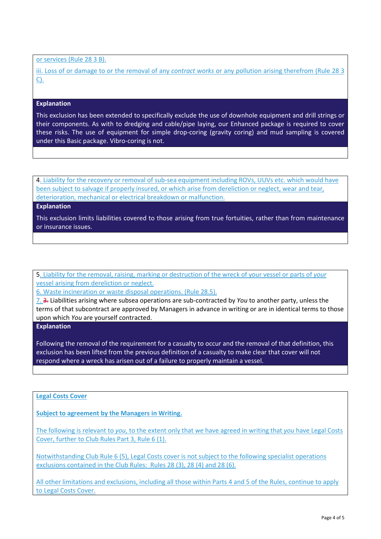or services (Rule 28 3 B).

iii. Loss of or damage to or the removal of any *contract works* or any pollution arising therefrom (Rule 28 3 C).

# **Explanation**

This exclusion has been extended to specifically exclude the use of downhole equipment and drill strings or their components. As with to dredging and cable/pipe laying, our Enhanced package is required to cover these risks. The use of equipment for simple drop-coring (gravity coring) and mud sampling is covered under this Basic package. Vibro-coring is not.

4. Liability for the recovery or removal of sub-sea equipment including ROVs, UUVs etc. which would have been subject to salvage if properly insured, or which arise from dereliction or neglect, wear and tear, deterioration, mechanical or electrical breakdown or malfunction.

### **Explanation**

This exclusion limits liabilities covered to those arising from true fortuities, rather than from maintenance or insurance issues.

5. Liability for the removal, raising, marking or destruction of the wreck of your vessel or parts of *your* vessel arising from dereliction or neglect.

6. Waste incineration or waste disposal operations. (Rule 28.5).

7. 3. Liabilities arising where subsea operations are sub-contracted by *You* to another party, unless the terms of that subcontract are approved by Managers in advance in writing or are in identical terms to those upon which *You* are yourself contracted.

# **Explanation**

Following the removal of the requirement for a casualty to occur and the removal of that definition, this exclusion has been lifted from the previous definition of a casualty to make clear that cover will not respond where a wreck has arisen out of a failure to properly maintain a vessel.

# **Legal Costs Cover**

**Subject to agreement by the Managers in Writing.**

The following is relevant to *you*, to the extent only that *we* have agreed in writing that *you* have Legal Costs Cover, further to Club Rules Part 3, Rule 6 (1).

Notwithstanding Club Rule 6 (5), Legal Costs cover is not subject to the following specialist operations exclusions contained in the Club Rules: Rules 28 (3), 28 (4) and 28 (6).

All other limitations and exclusions, including all those within Parts 4 and 5 of the Rules, continue to apply to Legal Costs Cover.